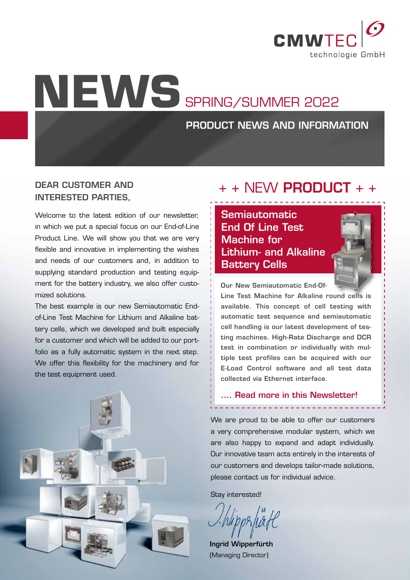

# **NEWS**SPRING/SUMMER 2022

## PRODUCT NEWS AND INFORMATION

### DEAR CUSTOMER AND INTERESTED PARTIES,

Welcome to the latest edition of our newsletter, in which we put a special focus on our End-of-Line Product Line. We will show you that we are very flexible and innovative in implementing the wishes and needs of our customers and, in addition to supplying standard production and testing equipment for the battery industry, we also offer customized solutions.

The best example is our new Semiautomatic Endof-Line Test Machine for Lithium and Alkaline battery cells, which we developed and built especially for a customer and which will be added to our portfolio as a fully automatic system in the next step. We offer this flexibility for the machinery and for the test equipment used.



## + + NEW PRODUCT + +

## **Semiautomatic** End Of Line Test Machine for Lithium- and Alkaline Battery Cells

Our New Semiautomatic End-Of-

Line Test Machine for Alkaline round cells is available. This concept of cell testing with automatic test sequence and semiautomatic cell handling is our latest development of testing machines. High-Rate Discharge and DCR test in combination or individually with multiple test profiles can be acquired with our E-Load Control software and all test data collected via Ethernet interface.

#### …. Read more in this Newsletter!

\_\_\_\_\_\_\_\_\_\_\_\_\_\_\_\_\_\_\_

We are proud to be able to offer our customers a very comprehensive modular system, which we are also happy to expand and adapt individually. Our innovative team acts entirely in the interests of our customers and develops tailor-made solutions, please contact us for individual advice.

Stay interested!

Ingrid Wipperfürth (Managing Director)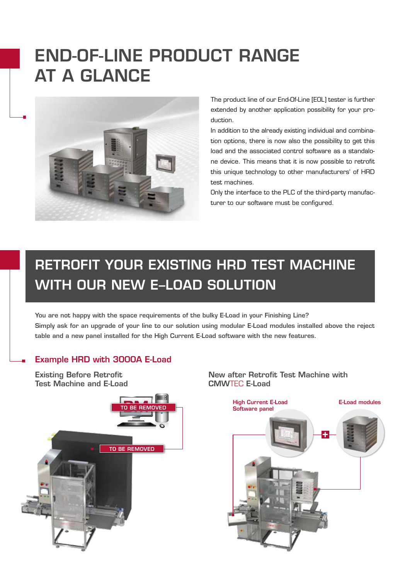## END-OF-LINE PRODUCT RANGE AT A GLANCE



The product line of our End-Of-Line [EOL] tester is further extended by another application possibility for your production.

In addition to the already existing individual and combination options, there is now also the possibility to get this load and the associated control software as a standalone device. This means that it is now possible to retrofit this unique technology to other manufacturers' of HRD test machines.

Only the interface to the PLC of the third-party manufacturer to our software must be configured.

## RETROFIT YOUR EXISTING HRD TEST MACHINE WITH OUR NEW E–LOAD SOLUTION

You are not happy with the space requirements of the bulky E-Load in your Finishing Line? Simply ask for an upgrade of your line to our solution using modular E-Load modules installed above the reject table and a new panel installed for the High Current E-Load software with the new features.

#### Example HRD with 3000A E-Load

Existing Before Retrofit Test Machine and E-Load

l



#### New after Retrofit Test Machine with CMWTEC E-Load

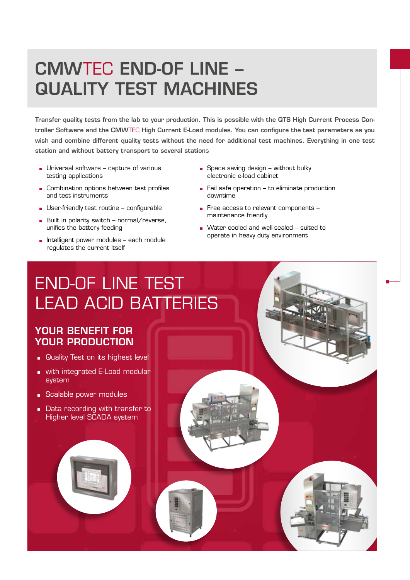# CMWTEC END-OF LINE – QUALITY TEST MACHINES

Transfer quality tests from the lab to your production. This is possible with the QTS High Current Process Controller Software and the CMWTEC High Current E-Load modules. You can configure the test parameters as you wish and combine different quality tests without the need for additional test machines. Everything in one test station and without battery transport to several stations

- **Universal software capture of various** testing applications
- **Combination options between test profiles** and test instruments
- **User-friendly test routine configurable**
- Built in polarity switch normal/reverse, unifies the battery feeding
- **Intelligent power modules each module** regulates the current itself
- $\Box$  Space saving design without bulky electronic e-load cabinet
- Fail safe operation to eliminate production downtime
- Free access to relevant components maintenance friendly
- Water cooled and well-sealed suited to operate in heavy duty environment

# END-OF LINE TEST LEAD ACID BATTERIES

## YOUR BENEFIT FOR YOUR PRODUCTION

- Quality Test on its highest level
- with integrated E-Load modular system
- **Scalable power modules**
- Data recording with transfer to Higher level SCADA system